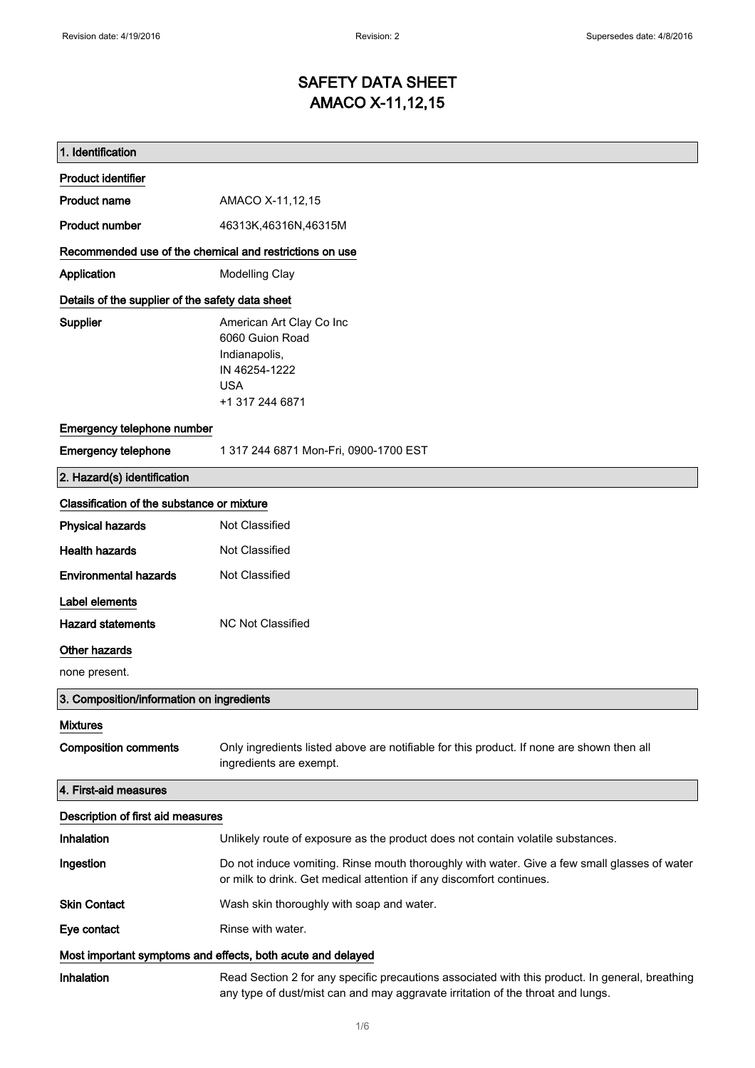$\mathsf{r}$ 

### SAFETY DATA SHEET AMACO X-11,12,15

| 1. Identification                                           |                                                                                                                                                                                    |  |
|-------------------------------------------------------------|------------------------------------------------------------------------------------------------------------------------------------------------------------------------------------|--|
| <b>Product identifier</b>                                   |                                                                                                                                                                                    |  |
| Product name                                                | AMACO X-11,12,15                                                                                                                                                                   |  |
| <b>Product number</b>                                       | 46313K,46316N,46315M                                                                                                                                                               |  |
| Recommended use of the chemical and restrictions on use     |                                                                                                                                                                                    |  |
| Application                                                 | Modelling Clay                                                                                                                                                                     |  |
| Details of the supplier of the safety data sheet            |                                                                                                                                                                                    |  |
| Supplier                                                    | American Art Clay Co Inc<br>6060 Guion Road<br>Indianapolis,<br>IN 46254-1222<br><b>USA</b><br>+1 317 244 6871                                                                     |  |
| Emergency telephone number                                  |                                                                                                                                                                                    |  |
| <b>Emergency telephone</b>                                  | 1 317 244 6871 Mon-Fri, 0900-1700 EST                                                                                                                                              |  |
| 2. Hazard(s) identification                                 |                                                                                                                                                                                    |  |
| Classification of the substance or mixture                  |                                                                                                                                                                                    |  |
| <b>Physical hazards</b>                                     | Not Classified                                                                                                                                                                     |  |
| <b>Health hazards</b>                                       | Not Classified                                                                                                                                                                     |  |
| <b>Environmental hazards</b>                                | Not Classified                                                                                                                                                                     |  |
| Label elements                                              |                                                                                                                                                                                    |  |
| <b>Hazard statements</b>                                    | <b>NC Not Classified</b>                                                                                                                                                           |  |
| Other hazards                                               |                                                                                                                                                                                    |  |
| none present.                                               |                                                                                                                                                                                    |  |
| 3. Composition/information on ingredients                   |                                                                                                                                                                                    |  |
| <b>Mixtures</b>                                             |                                                                                                                                                                                    |  |
| <b>Composition comments</b>                                 | Only ingredients listed above are notifiable for this product. If none are shown then all<br>ingredients are exempt.                                                               |  |
| 4. First-aid measures                                       |                                                                                                                                                                                    |  |
| Description of first aid measures                           |                                                                                                                                                                                    |  |
| Inhalation                                                  | Unlikely route of exposure as the product does not contain volatile substances.                                                                                                    |  |
| Ingestion                                                   | Do not induce vomiting. Rinse mouth thoroughly with water. Give a few small glasses of water<br>or milk to drink. Get medical attention if any discomfort continues.               |  |
| <b>Skin Contact</b>                                         | Wash skin thoroughly with soap and water.                                                                                                                                          |  |
| Eye contact                                                 | Rinse with water.                                                                                                                                                                  |  |
| Most important symptoms and effects, both acute and delayed |                                                                                                                                                                                    |  |
| Inhalation                                                  | Read Section 2 for any specific precautions associated with this product. In general, breathing<br>any type of dust/mist can and may aggravate irritation of the throat and lungs. |  |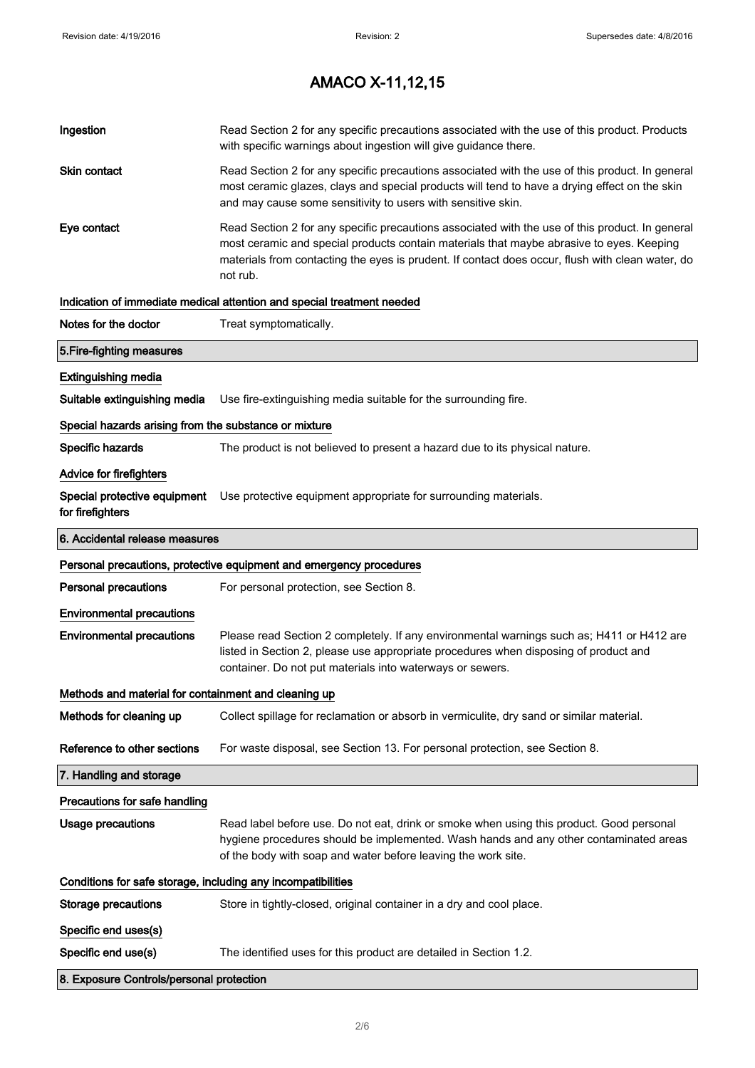| Ingestion                                                    | Read Section 2 for any specific precautions associated with the use of this product. Products<br>with specific warnings about ingestion will give guidance there.                                                                                                                                           |
|--------------------------------------------------------------|-------------------------------------------------------------------------------------------------------------------------------------------------------------------------------------------------------------------------------------------------------------------------------------------------------------|
| Skin contact                                                 | Read Section 2 for any specific precautions associated with the use of this product. In general<br>most ceramic glazes, clays and special products will tend to have a drying effect on the skin<br>and may cause some sensitivity to users with sensitive skin.                                            |
| Eye contact                                                  | Read Section 2 for any specific precautions associated with the use of this product. In general<br>most ceramic and special products contain materials that maybe abrasive to eyes. Keeping<br>materials from contacting the eyes is prudent. If contact does occur, flush with clean water, do<br>not rub. |
|                                                              | Indication of immediate medical attention and special treatment needed                                                                                                                                                                                                                                      |
| Notes for the doctor                                         | Treat symptomatically.                                                                                                                                                                                                                                                                                      |
| 5. Fire-fighting measures                                    |                                                                                                                                                                                                                                                                                                             |
| <b>Extinguishing media</b>                                   |                                                                                                                                                                                                                                                                                                             |
| Suitable extinguishing media                                 | Use fire-extinguishing media suitable for the surrounding fire.                                                                                                                                                                                                                                             |
| Special hazards arising from the substance or mixture        |                                                                                                                                                                                                                                                                                                             |
| Specific hazards                                             | The product is not believed to present a hazard due to its physical nature.                                                                                                                                                                                                                                 |
| <b>Advice for firefighters</b>                               |                                                                                                                                                                                                                                                                                                             |
| for firefighters                                             | Special protective equipment Use protective equipment appropriate for surrounding materials.                                                                                                                                                                                                                |
| 6. Accidental release measures                               |                                                                                                                                                                                                                                                                                                             |
|                                                              |                                                                                                                                                                                                                                                                                                             |
|                                                              | Personal precautions, protective equipment and emergency procedures                                                                                                                                                                                                                                         |
| <b>Personal precautions</b>                                  | For personal protection, see Section 8.                                                                                                                                                                                                                                                                     |
| <b>Environmental precautions</b>                             |                                                                                                                                                                                                                                                                                                             |
| <b>Environmental precautions</b>                             | Please read Section 2 completely. If any environmental warnings such as; H411 or H412 are<br>listed in Section 2, please use appropriate procedures when disposing of product and<br>container. Do not put materials into waterways or sewers.                                                              |
| Methods and material for containment and cleaning up         |                                                                                                                                                                                                                                                                                                             |
| Methods for cleaning up                                      | Collect spillage for reclamation or absorb in vermiculite, dry sand or similar material.                                                                                                                                                                                                                    |
| Reference to other sections                                  | For waste disposal, see Section 13. For personal protection, see Section 8.                                                                                                                                                                                                                                 |
| 7. Handling and storage                                      |                                                                                                                                                                                                                                                                                                             |
| Precautions for safe handling                                |                                                                                                                                                                                                                                                                                                             |
| <b>Usage precautions</b>                                     | Read label before use. Do not eat, drink or smoke when using this product. Good personal<br>hygiene procedures should be implemented. Wash hands and any other contaminated areas<br>of the body with soap and water before leaving the work site.                                                          |
| Conditions for safe storage, including any incompatibilities |                                                                                                                                                                                                                                                                                                             |
| <b>Storage precautions</b>                                   | Store in tightly-closed, original container in a dry and cool place.                                                                                                                                                                                                                                        |
| Specific end uses(s)                                         |                                                                                                                                                                                                                                                                                                             |
| Specific end use(s)                                          | The identified uses for this product are detailed in Section 1.2.                                                                                                                                                                                                                                           |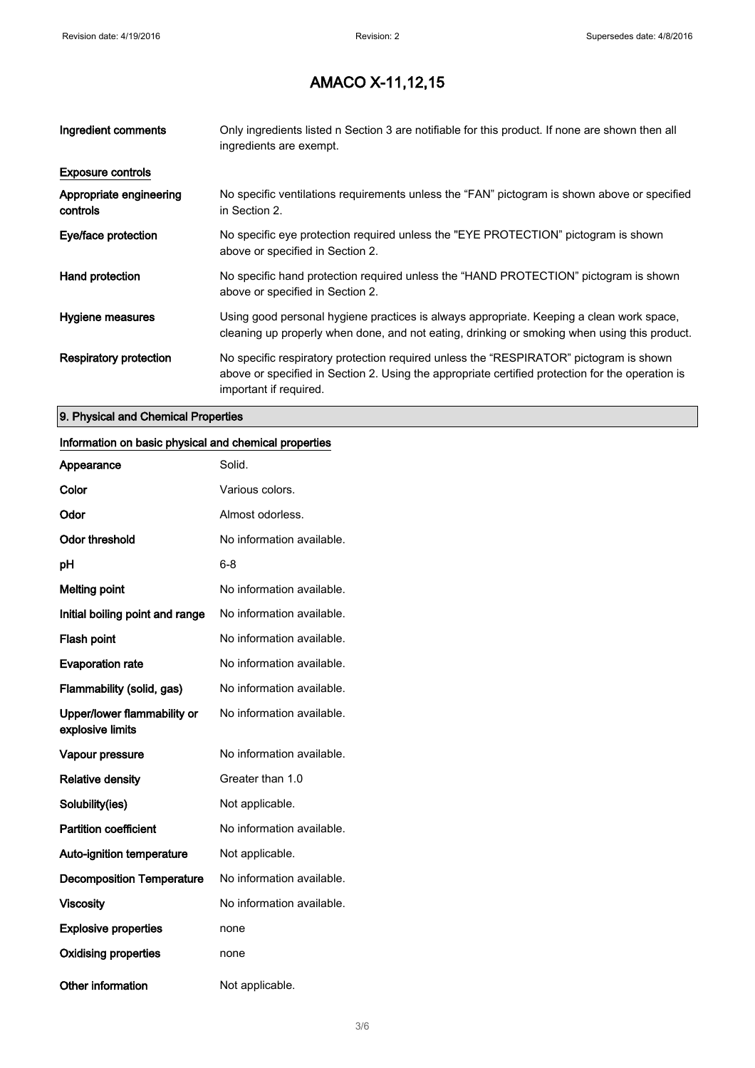| Ingredient comments                 | Only ingredients listed n Section 3 are notifiable for this product. If none are shown then all<br>ingredients are exempt.                                                                                           |
|-------------------------------------|----------------------------------------------------------------------------------------------------------------------------------------------------------------------------------------------------------------------|
| <b>Exposure controls</b>            |                                                                                                                                                                                                                      |
| Appropriate engineering<br>controls | No specific ventilations requirements unless the "FAN" pictogram is shown above or specified<br>in Section 2.                                                                                                        |
| Eye/face protection                 | No specific eye protection required unless the "EYE PROTECTION" pictogram is shown<br>above or specified in Section 2.                                                                                               |
| Hand protection                     | No specific hand protection required unless the "HAND PROTECTION" pictogram is shown<br>above or specified in Section 2.                                                                                             |
| Hygiene measures                    | Using good personal hygiene practices is always appropriate. Keeping a clean work space,<br>cleaning up properly when done, and not eating, drinking or smoking when using this product.                             |
| Respiratory protection              | No specific respiratory protection required unless the "RESPIRATOR" pictogram is shown<br>above or specified in Section 2. Using the appropriate certified protection for the operation is<br>important if required. |

### 9. Physical and Chemical Properties

#### Information on basic physical and chemical properties

| Appearance                                      | Solid.                    |
|-------------------------------------------------|---------------------------|
| Color                                           | Various colors.           |
| Odor                                            | Almost odorless.          |
| <b>Odor threshold</b>                           | No information available. |
| рH                                              | 6-8                       |
| <b>Melting point</b>                            | No information available. |
| Initial boiling point and range                 | No information available. |
| <b>Flash point</b>                              | No information available. |
| <b>Evaporation rate</b>                         | No information available. |
| Flammability (solid, gas)                       | No information available. |
| Upper/lower flammability or<br>explosive limits | No information available. |
| Vapour pressure                                 | No information available. |
| <b>Relative density</b>                         | Greater than 1.0          |
| Solubility(ies)                                 | Not applicable.           |
| <b>Partition coefficient</b>                    | No information available. |
| <b>Auto-ignition temperature</b>                | Not applicable.           |
| <b>Decomposition Temperature</b>                | No information available. |
| Viscosity                                       | No information available. |
| <b>Explosive properties</b>                     | none                      |
| <b>Oxidising properties</b>                     | none                      |
| Other information                               | Not applicable.           |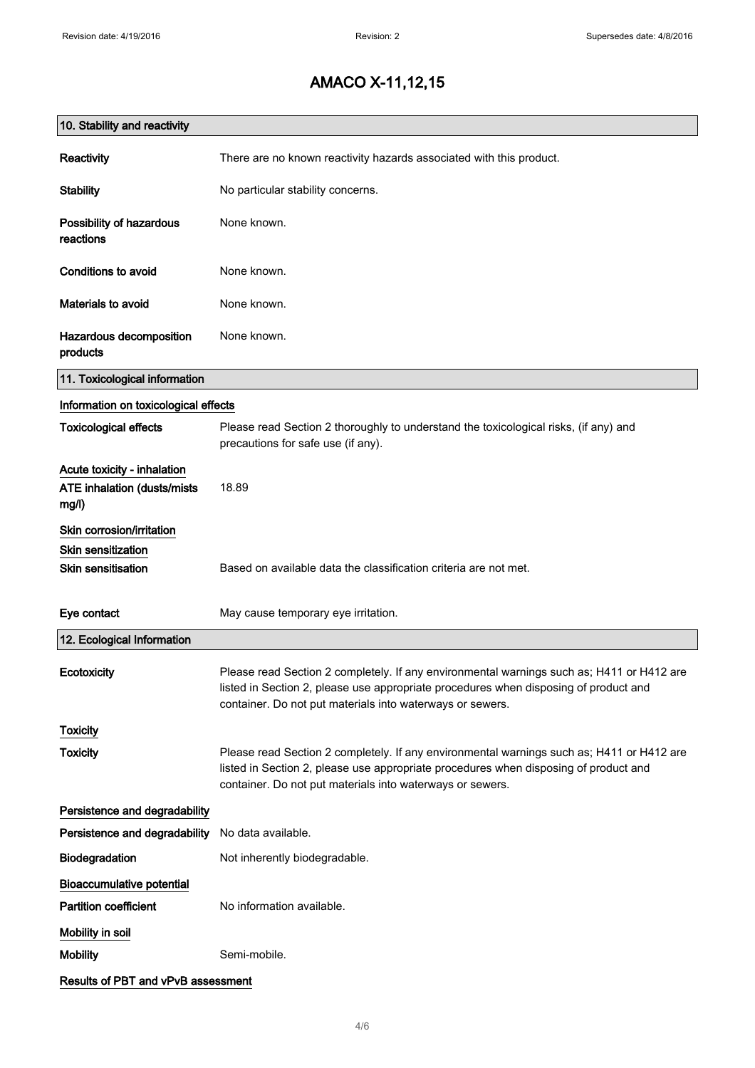| 10. Stability and reactivity                                        |                                                                                                                                                                                                                                                |
|---------------------------------------------------------------------|------------------------------------------------------------------------------------------------------------------------------------------------------------------------------------------------------------------------------------------------|
| Reactivity                                                          | There are no known reactivity hazards associated with this product.                                                                                                                                                                            |
| <b>Stability</b>                                                    | No particular stability concerns.                                                                                                                                                                                                              |
| Possibility of hazardous<br>reactions                               | None known.                                                                                                                                                                                                                                    |
| <b>Conditions to avoid</b>                                          | None known.                                                                                                                                                                                                                                    |
| <b>Materials to avoid</b>                                           | None known.                                                                                                                                                                                                                                    |
| Hazardous decomposition<br>products                                 | None known.                                                                                                                                                                                                                                    |
| 11. Toxicological information                                       |                                                                                                                                                                                                                                                |
| Information on toxicological effects                                |                                                                                                                                                                                                                                                |
| <b>Toxicological effects</b>                                        | Please read Section 2 thoroughly to understand the toxicological risks, (if any) and<br>precautions for safe use (if any).                                                                                                                     |
| Acute toxicity - inhalation<br>ATE inhalation (dusts/mists<br>mg/l) | 18.89                                                                                                                                                                                                                                          |
| Skin corrosion/irritation                                           |                                                                                                                                                                                                                                                |
| Skin sensitization                                                  |                                                                                                                                                                                                                                                |
| <b>Skin sensitisation</b>                                           | Based on available data the classification criteria are not met.                                                                                                                                                                               |
| Eye contact                                                         | May cause temporary eye irritation.                                                                                                                                                                                                            |
| 12. Ecological Information                                          |                                                                                                                                                                                                                                                |
| Ecotoxicity                                                         | Please read Section 2 completely. If any environmental warnings such as; H411 or H412 are<br>listed in Section 2, please use appropriate procedures when disposing of product and<br>container. Do not put materials into waterways or sewers. |
| <b>Toxicity</b>                                                     |                                                                                                                                                                                                                                                |
| <b>Toxicity</b>                                                     | Please read Section 2 completely. If any environmental warnings such as; H411 or H412 are<br>listed in Section 2, please use appropriate procedures when disposing of product and<br>container. Do not put materials into waterways or sewers. |
| Persistence and degradability                                       |                                                                                                                                                                                                                                                |
| Persistence and degradability                                       | No data available.                                                                                                                                                                                                                             |
| Biodegradation                                                      | Not inherently biodegradable.                                                                                                                                                                                                                  |
| <b>Bioaccumulative potential</b>                                    |                                                                                                                                                                                                                                                |
| <b>Partition coefficient</b>                                        | No information available.                                                                                                                                                                                                                      |
| Mobility in soil                                                    |                                                                                                                                                                                                                                                |
| <b>Mobility</b>                                                     | Semi-mobile.                                                                                                                                                                                                                                   |
| Results of PBT and vPvB assessment                                  |                                                                                                                                                                                                                                                |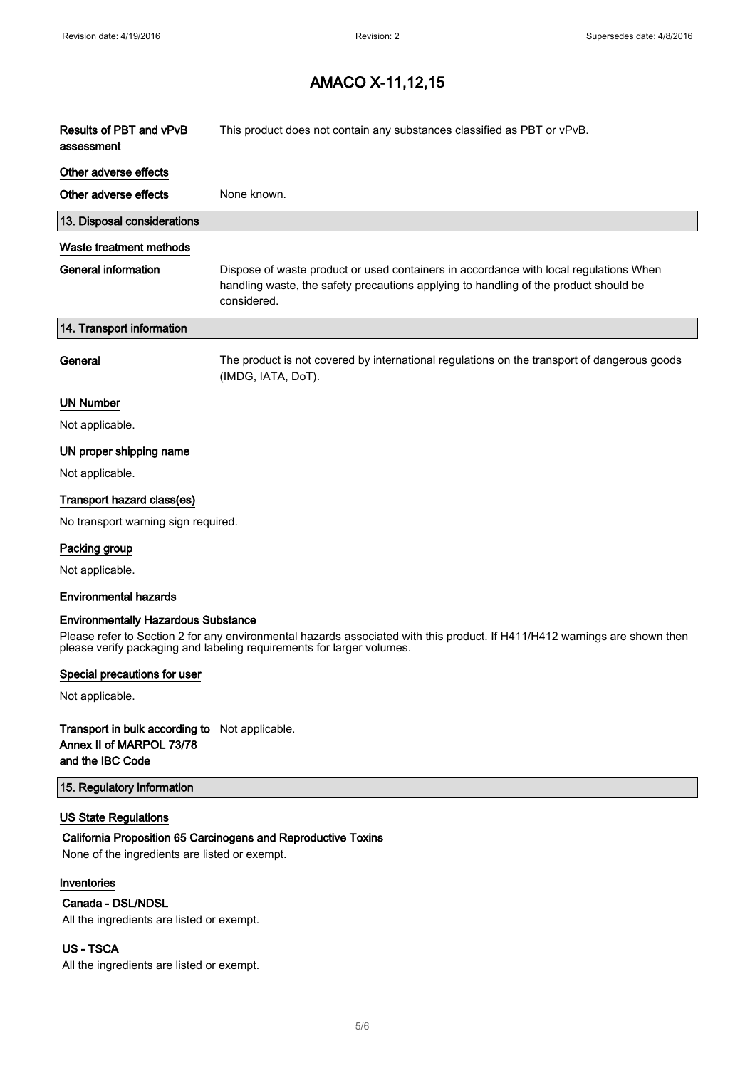$\overline{\phantom{a}}$ 

### AMACO X-11,12,15

| Results of PBT and vPvB<br>assessment      | This product does not contain any substances classified as PBT or vPvB.                                                                                                                      |
|--------------------------------------------|----------------------------------------------------------------------------------------------------------------------------------------------------------------------------------------------|
| Other adverse effects                      |                                                                                                                                                                                              |
| Other adverse effects                      | None known.                                                                                                                                                                                  |
| 13. Disposal considerations                |                                                                                                                                                                                              |
| Waste treatment methods                    |                                                                                                                                                                                              |
| <b>General information</b>                 | Dispose of waste product or used containers in accordance with local regulations When<br>handling waste, the safety precautions applying to handling of the product should be<br>considered. |
| 14. Transport information                  |                                                                                                                                                                                              |
| General                                    | The product is not covered by international regulations on the transport of dangerous goods<br>(IMDG, IATA, DoT).                                                                            |
| <b>UN Number</b>                           |                                                                                                                                                                                              |
| Not applicable.                            |                                                                                                                                                                                              |
| UN proper shipping name                    |                                                                                                                                                                                              |
| Not applicable.                            |                                                                                                                                                                                              |
| Transport hazard class(es)                 |                                                                                                                                                                                              |
| No transport warning sign required.        |                                                                                                                                                                                              |
| Packing group                              |                                                                                                                                                                                              |
| Not applicable.                            |                                                                                                                                                                                              |
| <b>Environmental hazards</b>               |                                                                                                                                                                                              |
| <b>Environmentally Hazardous Substance</b> |                                                                                                                                                                                              |

Please refer to Section 2 for any environmental hazards associated with this product. If H411/H412 warnings are shown then please verify packaging and labeling requirements for larger volumes.

#### Special precautions for user

Not applicable.

#### Transport in bulk according to Not applicable. Annex II of MARPOL 73/78 and the IBC Code

#### 15. Regulatory information

#### US State Regulations

#### California Proposition 65 Carcinogens and Reproductive Toxins

None of the ingredients are listed or exempt.

#### Inventories

#### Canada - DSL/NDSL

All the ingredients are listed or exempt.

#### US - TSCA

All the ingredients are listed or exempt.